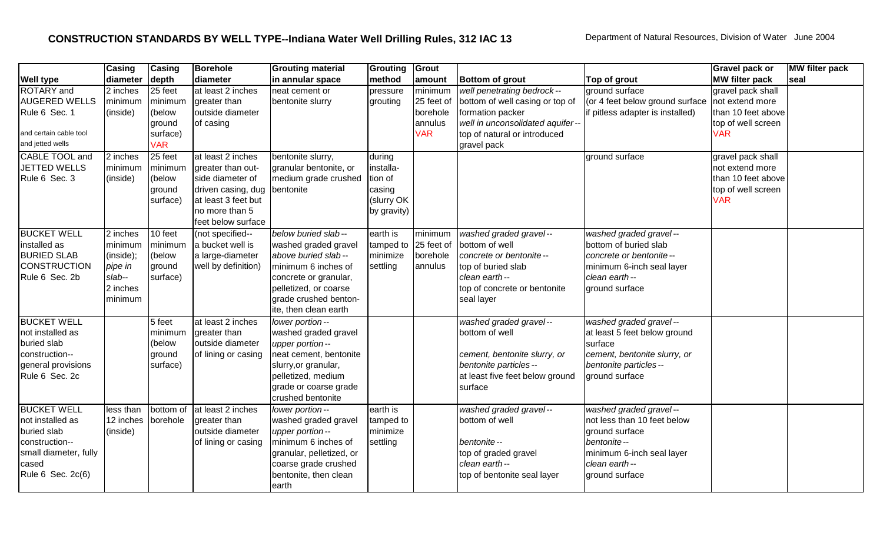|                        | Casing    | Casing     | <b>Borehole</b>     | <b>Grouting material</b> | Grouting             | Grout      |                                  |                                  | <b>Gravel pack or</b> | <b>MW</b> filter pack |
|------------------------|-----------|------------|---------------------|--------------------------|----------------------|------------|----------------------------------|----------------------------------|-----------------------|-----------------------|
| <b>Well type</b>       | diameter  | depth      | diameter            | in annular space         | method               | amount     | <b>Bottom of grout</b>           | Top of grout                     | <b>MW filter pack</b> | seal                  |
| <b>ROTARY</b> and      | 2 inches  | 25 feet    | at least 2 inches   | neat cement or           | pressure             | minimum    | well penetrating bedrock--       | ground surface                   | gravel pack shall     |                       |
| <b>AUGERED WELLS</b>   | minimum   | minimum    | greater than        | bentonite slurry         | grouting             | 25 feet of | bottom of well casing or top of  | (or 4 feet below ground surface  | not extend more       |                       |
| Rule 6 Sec. 1          | (inside)  | (below     | outside diameter    |                          |                      | borehole   | formation packer                 | if pitless adapter is installed) | than 10 feet above    |                       |
|                        |           | ground     | of casing           |                          |                      | annulus    | well in unconsolidated aquifer-- |                                  | top of well screen    |                       |
| and certain cable tool |           | surface)   |                     |                          |                      | <b>VAR</b> | top of natural or introduced     |                                  | <b>VAR</b>            |                       |
| and jetted wells       |           | <b>VAR</b> |                     |                          |                      |            | gravel pack                      |                                  |                       |                       |
| CABLE TOOL and         | 2 inches  | 25 feet    | at least 2 inches   | bentonite slurry,        | during               |            |                                  | ground surface                   | gravel pack shall     |                       |
| <b>JETTED WELLS</b>    | minimum   | minimum    | greater than out-   | granular bentonite, or   | installa-            |            |                                  |                                  | not extend more       |                       |
| Rule 6 Sec. 3          | (inside)  | (below     | side diameter of    | medium grade crushed     | tion of              |            |                                  |                                  | than 10 feet above    |                       |
|                        |           | ground     | driven casing, dug  | bentonite                | casing               |            |                                  |                                  | top of well screen    |                       |
|                        |           | surface)   | at least 3 feet but |                          | (slurry OK           |            |                                  |                                  | <b>VAR</b>            |                       |
|                        |           |            | no more than 5      |                          | by gravity)          |            |                                  |                                  |                       |                       |
|                        |           |            | feet below surface  |                          |                      |            |                                  |                                  |                       |                       |
| <b>BUCKET WELL</b>     | 2 inches  | 10 feet    | (not specified--    | below buried slab--      | earth is             | minimum    | washed graded gravel--           | washed graded gravel--           |                       |                       |
| installed as           | minimum   | minimum    | a bucket well is    | washed graded gravel     | tamped to 25 feet of |            | bottom of well                   | bottom of buried slab            |                       |                       |
| <b>BURIED SLAB</b>     | (inside); | (below     | a large-diameter    | above buried slab--      | minimize             | borehole   | concrete or bentonite --         | concrete or bentonite --         |                       |                       |
| <b>CONSTRUCTION</b>    | pipe in   | ground     | well by definition) | minimum 6 inches of      | settling             | annulus    | top of buried slab               | minimum 6-inch seal layer        |                       |                       |
| Rule 6 Sec. 2b         | slab--    | surface)   |                     | concrete or granular,    |                      |            | clean earth--                    | clean earth--                    |                       |                       |
|                        | 2 inches  |            |                     | pelletized, or coarse    |                      |            | top of concrete or bentonite     | ground surface                   |                       |                       |
|                        | minimum   |            |                     | grade crushed benton-    |                      |            | seal layer                       |                                  |                       |                       |
|                        |           |            |                     | ite, then clean earth    |                      |            |                                  |                                  |                       |                       |
| <b>BUCKET WELL</b>     |           | 5 feet     | at least 2 inches   | lower portion--          |                      |            | washed graded gravel--           | washed graded gravel--           |                       |                       |
| not installed as       |           | minimum    | greater than        | washed graded gravel     |                      |            | bottom of well                   | at least 5 feet below ground     |                       |                       |
| buried slab            |           | (below     | outside diameter    | upper portion--          |                      |            |                                  | surface                          |                       |                       |
| construction--         |           | ground     | of lining or casing | neat cement, bentonite   |                      |            | cement, bentonite slurry, or     | cement, bentonite slurry, or     |                       |                       |
| general provisions     |           | surface)   |                     | slurry, or granular,     |                      |            | bentonite particles --           | bentonite particles--            |                       |                       |
| Rule 6 Sec. 2c         |           |            |                     | pelletized, medium       |                      |            | at least five feet below ground  | ground surface                   |                       |                       |
|                        |           |            |                     | grade or coarse grade    |                      |            | surface                          |                                  |                       |                       |
|                        |           |            |                     | crushed bentonite        |                      |            |                                  |                                  |                       |                       |
| <b>BUCKET WELL</b>     | less than | bottom of  | at least 2 inches   | lower portion--          | earth is             |            | washed graded gravel--           | washed graded gravel--           |                       |                       |
| not installed as       | 12 inches | borehole   | greater than        | washed graded gravel     | tamped to            |            | bottom of well                   | not less than 10 feet below      |                       |                       |
| buried slab            | (inside)  |            | outside diameter    | upper portion--          | minimize             |            |                                  | ground surface                   |                       |                       |
| construction--         |           |            | of lining or casing | minimum 6 inches of      | settling             |            | bentonite--                      | bentonite--                      |                       |                       |
| small diameter, fully  |           |            |                     | granular, pelletized, or |                      |            | top of graded gravel             | minimum 6-inch seal layer        |                       |                       |
| cased                  |           |            |                     | coarse grade crushed     |                      |            | clean earth--                    | clean earth--                    |                       |                       |
| Rule 6 Sec. 2c(6)      |           |            |                     | bentonite, then clean    |                      |            | top of bentonite seal layer      | ground surface                   |                       |                       |
|                        |           |            |                     | earth                    |                      |            |                                  |                                  |                       |                       |